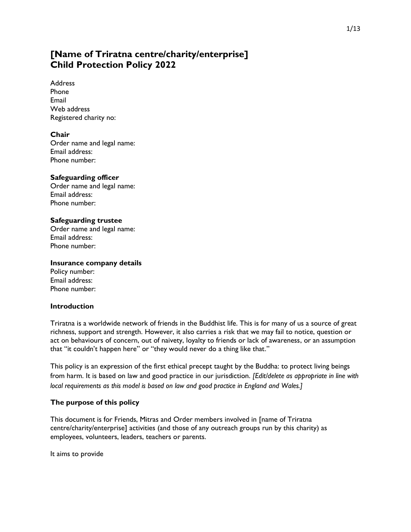# **[Name of Triratna centre/charity/enterprise] Child Protection Policy 2022**

Address Phone Email Web address Registered charity no:

# **Chair**

Order name and legal name: Email address: Phone number:

## **Safeguarding officer**

Order name and legal name: Email address: Phone number:

# **Safeguarding trustee**

Order name and legal name: Email address: Phone number:

## **Insurance company details**

Policy number: Email address: Phone number:

# **Introduction**

Triratna is a worldwide network of friends in the Buddhist life. This is for many of us a source of great richness, support and strength. However, it also carries a risk that we may fail to notice, question or act on behaviours of concern, out of naivety, loyalty to friends or lack of awareness, or an assumption that "it couldn't happen here" or "they would never do a thing like that."

This policy is an expression of the first ethical precept taught by the Buddha: to protect living beings from harm. It is based on law and good practice in our jurisdiction. *[Edit/delete as appropriate in line with local requirements as this model is based on law and good practice in England and Wales.]*

# **The purpose of this policy**

This document is for Friends, Mitras and Order members involved in [name of Triratna centre/charity/enterprise] activities (and those of any outreach groups run by this charity) as employees, volunteers, leaders, teachers or parents.

It aims to provide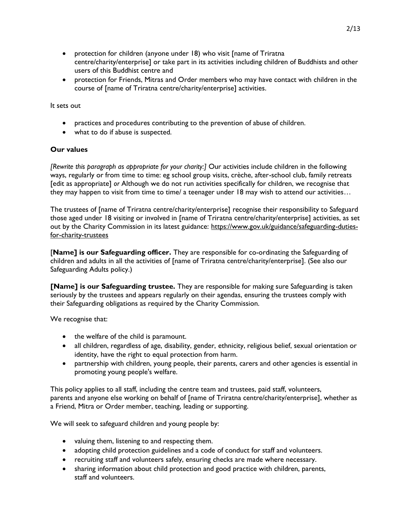- protection for children (anyone under 18) who visit [name of Triratna centre/charity/enterprise] or take part in its activities including children of Buddhists and other users of this Buddhist centre and
- protection for Friends, Mitras and Order members who may have contact with children in the course of [name of Triratna centre/charity/enterprise] activities.

It sets out

- practices and procedures contributing to the prevention of abuse of children.
- what to do if abuse is suspected.

# **Our values**

*[Rewrite this paragraph as appropriate for your charity:]* Our activities include children in the following ways, regularly or from time to time: eg school group visits, crèche, after-school club, family retreats [edit as appropriate] *or* Although we do not run activities specifically for children, we recognise that they may happen to visit from time to time/ a teenager under 18 may wish to attend our activities…

The trustees of [name of Triratna centre/charity/enterprise] recognise their responsibility to Safeguard those aged under 18 visiting or involved in [name of Triratna centre/charity/enterprise] activities, as set out by the Charity Commission in its latest guidance: [https://www.gov.uk/guidance/safeguarding-duties](https://www.gov.uk/guidance/safeguarding-duties-for-charity-trustees)[for-charity-trustees](https://www.gov.uk/guidance/safeguarding-duties-for-charity-trustees)

[**Name] is our Safeguarding officer.** They are responsible for co-ordinating the Safeguarding of children and adults in all the activities of [name of Triratna centre/charity/enterprise]. (See also our Safeguarding Adults policy.)

**[Name] is our Safeguarding trustee.** They are responsible for making sure Safeguarding is taken seriously by the trustees and appears regularly on their agendas, ensuring the trustees comply with their Safeguarding obligations as required by the Charity Commission.

We recognise that:

- the welfare of the child is paramount.
- all children, regardless of age, disability, gender, ethnicity, religious belief, sexual orientation or identity, have the right to equal protection from harm.
- partnership with children, young people, their parents, carers and other agencies is essential in promoting young people's welfare.

This policy applies to all staff, including the centre team and trustees, paid staff, volunteers, parents and anyone else working on behalf of [name of Triratna centre/charity/enterprise], whether as a Friend, Mitra or Order member, teaching, leading or supporting.

We will seek to safeguard children and young people by:

- valuing them, listening to and respecting them.
- adopting child protection guidelines and a code of conduct for staff and volunteers.
- recruiting staff and volunteers safely, ensuring checks are made where necessary.
- sharing information about child protection and good practice with children, parents, staff and volunteers.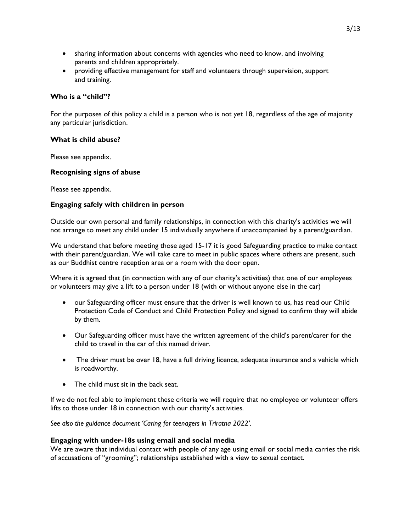- sharing information about concerns with agencies who need to know, and involving parents and children appropriately.
- providing effective management for staff and volunteers through supervision, support and training.

### **Who is a "child"?**

For the purposes of this policy a child is a person who is not yet 18, regardless of the age of majority any particular jurisdiction.

#### **What is child abuse?**

Please see appendix.

## **Recognising signs of abuse**

Please see appendix.

## **Engaging safely with children in person**

Outside our own personal and family relationships, in connection with this charity's activities we will not arrange to meet any child under 15 individually anywhere if unaccompanied by a parent/guardian.

We understand that before meeting those aged 15-17 it is good Safeguarding practice to make contact with their parent/guardian. We will take care to meet in public spaces where others are present, such as our Buddhist centre reception area or a room with the door open.

Where it is agreed that (in connection with any of our charity's activities) that one of our employees or volunteers may give a lift to a person under 18 (with or without anyone else in the car)

- our Safeguarding officer must ensure that the driver is well known to us, has read our Child Protection Code of Conduct and Child Protection Policy and signed to confirm they will abide by them.
- Our Safeguarding officer must have the written agreement of the child's parent/carer for the child to travel in the car of this named driver.
- The driver must be over 18, have a full driving licence, adequate insurance and a vehicle which is roadworthy.
- The child must sit in the back seat.

If we do not feel able to implement these criteria we will require that no employee or volunteer offers lifts to those under 18 in connection with our charity's activities.

*See also the guidance document 'Caring for teenagers in Triratna 2022'.*

## **Engaging with under-18s using email and social media**

We are aware that individual contact with people of any age using email or social media carries the risk of accusations of "grooming"; relationships established with a view to sexual contact.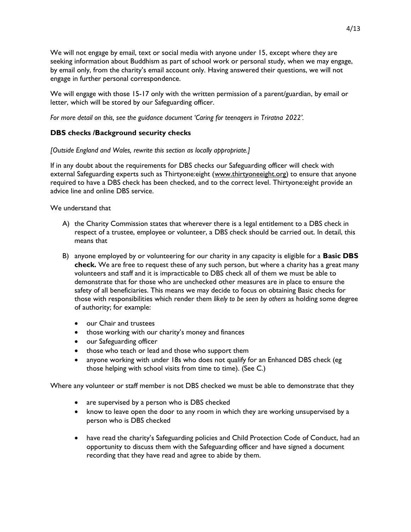We will not engage by email, text or social media with anyone under 15, except where they are seeking information about Buddhism as part of school work or personal study, when we may engage, by email only, from the charity's email account only. Having answered their questions, we will not engage in further personal correspondence.

We will engage with those 15-17 only with the written permission of a parent/guardian, by email or letter, which will be stored by our Safeguarding officer.

*For more detail on this, see the guidance document 'Caring for teenagers in Triratna 2022'.*

## **DBS checks /Background security checks**

#### *[Outside England and Wales, rewrite this section as locally appropriate.]*

If in any doubt about the requirements for DBS checks our Safeguarding officer will check with external Safeguarding experts such as Thirtyone:eight [\(www.thirtyoneeight.org\)](http://www.thirtyoneeight.org/) to ensure that anyone required to have a DBS check has been checked, and to the correct level. Thirtyone:eight provide an advice line and online DBS service.

We understand that

- A) the Charity Commission states that wherever there is a legal entitlement to a DBS check in respect of a trustee, employee or volunteer, a DBS check should be carried out. In detail, this means that
- B) anyone employed by or volunteering for our charity in any capacity is eligible for a **Basic DBS check.** We are free to request these of any such person, but where a charity has a great many volunteers and staff and it is impracticable to DBS check all of them we must be able to demonstrate that for those who are unchecked other measures are in place to ensure the safety of all beneficiaries. This means we may decide to focus on obtaining Basic checks for those with responsibilities which render them *likely to be seen by others* as holding some degree of authority; for example:
	- our Chair and trustees
	- those working with our charity's money and finances
	- our Safeguarding officer
	- those who teach or lead and those who support them
	- anyone working with under 18s who does not qualify for an Enhanced DBS check (eg those helping with school visits from time to time). (See C.)

Where any volunteer or staff member is not DBS checked we must be able to demonstrate that they

- are supervised by a person who is DBS checked
- know to leave open the door to any room in which they are working unsupervised by a person who is DBS checked
- have read the charity's Safeguarding policies and Child Protection Code of Conduct, had an opportunity to discuss them with the Safeguarding officer and have signed a document recording that they have read and agree to abide by them.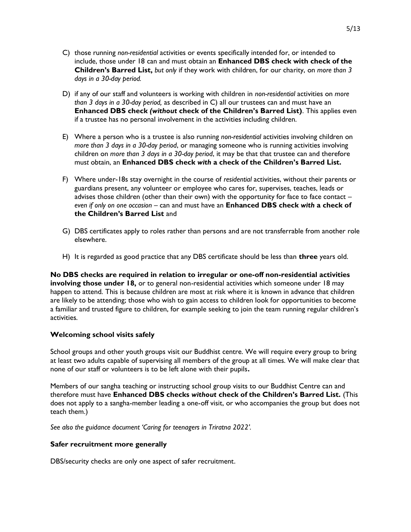- C) those running *non-residential* activities or events specifically intended for, or intended to include, those under 18 can and must obtain an **Enhanced DBS check with check of the Children's Barred List,** *but only* if they work with children, for our charity, on *more than 3 days in a 30-day period.*
- D) if any of our staff and volunteers is working with children in *non-residential* activities on *more than 3 days in a 30-day period,* as described in C) all our trustees can and must have an **Enhanced DBS check** *(without* **check of the Children's Barred List)**. This applies even if a trustee has no personal involvement in the activities including children.
- E) Where a person who is a trustee is also running *non-residential* activities involving children on *more than 3 days in a 30-day period*, or managing someone who is running activities involving children on *more than 3 days in a 30-day period*, it may be that that trustee can and therefore mus*t* obtain, an **Enhanced DBS check** *with* **a check of the Children's Barred List.**
- F) Where under-18s stay overnight in the course of *residential* activities, without their parents or guardians present, any volunteer or employee who cares for, supervises, teaches, leads or advises those children (other than their own) with the opportunity for face to face contact *– even if only on one occasion* – can and must have an **Enhanced DBS check** *with* **a check of the Children's Barred List** and
- G) DBS certificates apply to roles rather than persons and are not transferrable from another role elsewhere.
- H) It is regarded as good practice that any DBS certificate should be less than **three** years old.

**No DBS checks are required in relation to irregular or one-off non-residential activities involving those under 18,** or to general non-residential activities which someone under 18 may happen to attend. This is because children are most at risk where it is known in advance that children are likely to be attending; those who wish to gain access to children look for opportunities to become a familiar and trusted figure to children, for example seeking to join the team running regular children's activities.

## **Welcoming school visits safely**

School groups and other youth groups visit our Buddhist centre. We will require every group to bring at least two adults capable of supervising all members of the group at all times. We will make clear that none of our staff or volunteers is to be left alone with their pupils**.**

Members of our sangha teaching or instructing school group visits to our Buddhist Centre can and therefore must have **Enhanced DBS checks** *without* **check of the Children's Barred List.** (This does not apply to a sangha-member leading a one-off visit, or who accompanies the group but does not teach them.)

*See also the guidance document 'Caring for teenagers in Triratna 2022'.*

## **Safer recruitment more generally**

DBS/security checks are only one aspect of safer recruitment.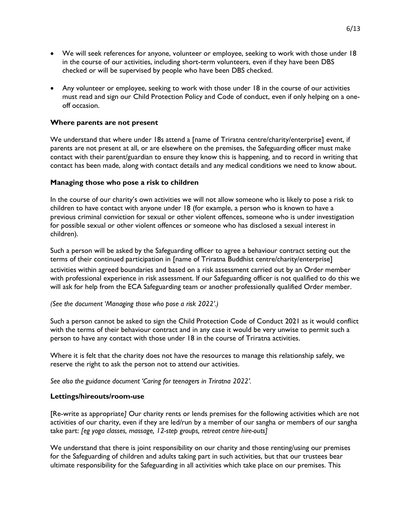- We will seek references for anyone, volunteer or employee, seeking to work with those under 18 in the course of our activities, including short-term volunteers, even if they have been DBS checked or will be supervised by people who have been DBS checked.
- Any volunteer or employee, seeking to work with those under 18 in the course of our activities must read and sign our Child Protection Policy and Code of conduct, even if only helping on a oneoff occasion.

### **Where parents are not present**

We understand that where under 18s attend a [name of Triratna centre/charity/enterprise] event, if parents are not present at all, or are elsewhere on the premises, the Safeguarding officer must make contact with their parent/guardian to ensure they know this is happening, and to record in writing that contact has been made, along with contact details and any medical conditions we need to know about.

#### **Managing those who pose a risk to children**

In the course of our charity's own activities we will not allow someone who is likely to pose a risk to children to have contact with anyone under 18 (for example, a person who is known to have a previous criminal conviction for sexual or other violent offences, someone who is under investigation for possible sexual or other violent offences or someone who has disclosed a sexual interest in children).

Such a person will be asked by the Safeguarding officer to agree a behaviour contract setting out the terms of their continued participation in [name of Triratna Buddhist centre/charity/enterprise] activities within agreed boundaries and based on a risk assessment carried out by an Order member with professional experience in risk assessment. If our Safeguarding officer is not qualified to do this we will ask for help from the ECA Safeguarding team or another professionally qualified Order member.

*(See the document 'Managing those who pose a risk 2022'.)*

Such a person cannot be asked to sign the Child Protection Code of Conduct 2021 as it would conflict with the terms of their behaviour contract and in any case it would be very unwise to permit such a person to have any contact with those under 18 in the course of Triratna activities.

Where it is felt that the charity does not have the resources to manage this relationship safely, we reserve the right to ask the person not to attend our activities.

*See also the guidance document 'Caring for teenagers in Triratna 2022'.*

## **Lettings/hireouts/room-use**

[Re-write as appropriate*]* Our charity rents or lends premises for the following activities which are not activities of our charity, even if they are led/run by a member of our sangha or members of our sangha take part: *[eg yoga classes, massage, 12-step groups, retreat centre hire-outs]*

We understand that there is joint responsibility on our charity and those renting/using our premises for the Safeguarding of children and adults taking part in such activities, but that our trustees bear ultimate responsibility for the Safeguarding in all activities which take place on our premises. This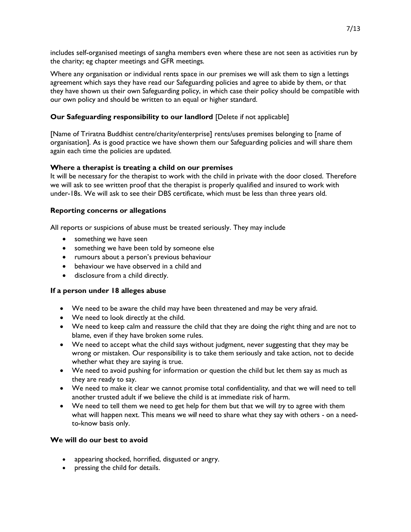includes self-organised meetings of sangha members even where these are not seen as activities run by the charity; eg chapter meetings and GFR meetings.

Where any organisation or individual rents space in our premises we will ask them to sign a lettings agreement which says they have read our Safeguarding policies and agree to abide by them, or that they have shown us their own Safeguarding policy, in which case their policy should be compatible with our own policy and should be written to an equal or higher standard.

# **Our Safeguarding responsibility to our landlord** [Delete if not applicable]

[Name of Triratna Buddhist centre/charity/enterprise] rents/uses premises belonging to [name of organisation]. As is good practice we have shown them our Safeguarding policies and will share them again each time the policies are updated.

## **Where a therapist is treating a child on our premises**

It will be necessary for the therapist to work with the child in private with the door closed. Therefore we will ask to see written proof that the therapist is properly qualified and insured to work with under-18s. We will ask to see their DBS certificate, which must be less than three years old.

# **Reporting concerns or allegations**

All reports or suspicions of abuse must be treated seriously. They may include

- something we have seen
- something we have been told by someone else
- rumours about a person's previous behaviour
- behaviour we have observed in a child and
- disclosure from a child directly.

## **If a person under 18 alleges abuse**

- We need to be aware the child may have been threatened and may be very afraid.
- We need to look directly at the child.
- We need to keep calm and reassure the child that they are doing the right thing and are not to blame, even if they have broken some rules.
- We need to accept what the child says without judgment, never suggesting that they may be wrong or mistaken. Our responsibility is to take them seriously and take action, not to decide whether what they are saying is true.
- We need to avoid pushing for information or question the child but let them say as much as they are ready to say.
- We need to make it clear we cannot promise total confidentiality, and that we will need to tell another trusted adult if we believe the child is at immediate risk of harm.
- We need to tell them we need to get help for them but that we will *try* to agree with them what will happen next. This means we *will* need to share what they say with others - on a needto-know basis only.

# **We will do our best to avoid**

- appearing shocked, horrified, disgusted or angry.
- pressing the child for details.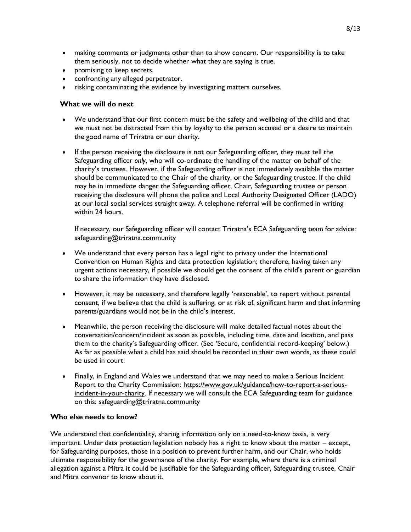- making comments or judgments other than to show concern. Our responsibility is to take them seriously, not to decide whether what they are saying is true.
- promising to keep secrets.
- confronting any alleged perpetrator.
- risking contaminating the evidence by investigating matters ourselves.

#### **What we will do next**

- We understand that our first concern must be the safety and wellbeing of the child and that we must not be distracted from this by loyalty to the person accused or a desire to maintain the good name of Triratna or our charity.
- If the person receiving the disclosure is not our Safeguarding officer, they must tell the Safeguarding officer *only*, who will co-ordinate the handling of the matter on behalf of the charity's trustees. However, if the Safeguarding officer is not immediately available the matter should be communicated to the Chair of the charity, or the Safeguarding trustee. If the child may be in immediate danger the Safeguarding officer, Chair, Safeguarding trustee or person receiving the disclosure will phone the police and Local Authority Designated Officer (LADO) at our local social services straight away. A telephone referral will be confirmed in writing within 24 hours.

If necessary, our Safeguarding officer will contact Triratna's ECA Safeguarding team for advice: safeguarding@triratna.community

- We understand that every person has a legal right to privacy under the International Convention on Human Rights and data protection legislation; therefore, having taken any urgent actions necessary, if possible we should get the consent of the child's parent or guardian to share the information they have disclosed.
- However, it may be necessary, and therefore legally 'reasonable', to report without parental consent, if we believe that the child is suffering, or at risk of, significant harm and that informing parents/guardians would not be in the child's interest.
- Meanwhile, the person receiving the disclosure will make detailed factual notes about the conversation/concern/incident as soon as possible, including time, date and location, and pass them to the charity's Safeguarding officer. (See 'Secure, confidential record-keeping' below.) As far as possible what a child has said should be recorded in their own words, as these could be used in court.
- Finally, in England and Wales we understand that we may need to make a Serious Incident Report to the Charity Commission: [https://www.gov.uk/guidance/how-to-report-a-serious](https://www.gov.uk/guidance/how-to-report-a-serious-incident-in-your-charity)[incident-in-your-charity.](https://www.gov.uk/guidance/how-to-report-a-serious-incident-in-your-charity) If necessary we will consult the ECA Safeguarding team for guidance on this: safeguarding@triratna.community

#### **Who else needs to know?**

We understand that confidentiality, sharing information only on a need-to-know basis, is very important. Under data protection legislation nobody has a right to know about the matter – except, for Safeguarding purposes, those in a position to prevent further harm, and our Chair, who holds ultimate responsibility for the governance of the charity. For example, where there is a criminal allegation against a Mitra it could be justifiable for the Safeguarding officer, Safeguarding trustee, Chair and Mitra convenor to know about it.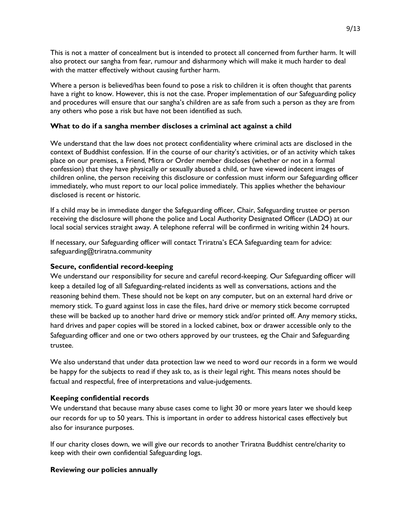This is not a matter of concealment but is intended to protect all concerned from further harm. It will also protect our sangha from fear, rumour and disharmony which will make it much harder to deal with the matter effectively without causing further harm.

Where a person is believed/has been found to pose a risk to children it is often thought that parents have a right to know. However, this is not the case. Proper implementation of our Safeguarding policy and procedures will ensure that our sangha's children are as safe from such a person as they are from any others who pose a risk but have not been identified as such.

# **What to do if a sangha member discloses a criminal act against a child**

We understand that the law does not protect confidentiality where criminal acts are disclosed in the context of Buddhist confession. If in the course of our charity's activities, or of an activity which takes place on our premises, a Friend, Mitra or Order member discloses (whether or not in a formal confession) that they have physically or sexually abused a child, or have viewed indecent images of children online, the person receiving this disclosure or confession must inform our Safeguarding officer immediately, who must report to our local police immediately. This applies whether the behaviour disclosed is recent or historic.

If a child may be in immediate danger the Safeguarding officer, Chair, Safeguarding trustee or person receiving the disclosure will phone the police and Local Authority Designated Officer (LADO) at our local social services straight away. A telephone referral will be confirmed in writing within 24 hours.

If necessary, our Safeguarding officer will contact Triratna's ECA Safeguarding team for advice: safeguarding@triratna.community

# **Secure, confidential record-keeping**

We understand our responsibility for secure and careful record-keeping. Our Safeguarding officer will keep a detailed log of all Safeguarding-related incidents as well as conversations, actions and the reasoning behind them. These should not be kept on any computer, but on an external hard drive or memory stick. To guard against loss in case the files, hard drive or memory stick become corrupted these will be backed up to another hard drive or memory stick and/or printed off. Any memory sticks, hard drives and paper copies will be stored in a locked cabinet, box or drawer accessible only to the Safeguarding officer and one or two others approved by our trustees, eg the Chair and Safeguarding trustee.

We also understand that under data protection law we need to word our records in a form we would be happy for the subjects to read if they ask to, as is their legal right. This means notes should be factual and respectful, free of interpretations and value-judgements.

# **Keeping confidential records**

We understand that because many abuse cases come to light 30 or more years later we should keep our records for up to 50 years. This is important in order to address historical cases effectively but also for insurance purposes.

If our charity closes down, we will give our records to another Triratna Buddhist centre/charity to keep with their own confidential Safeguarding logs.

# **Reviewing our policies annually**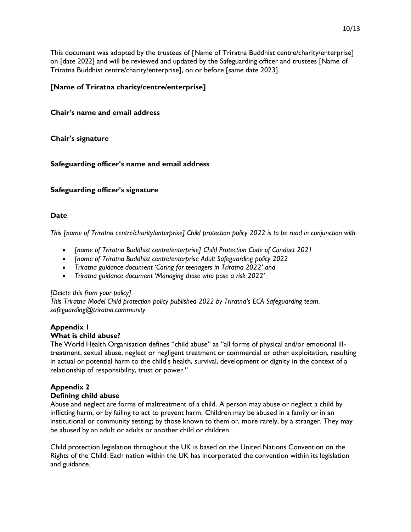This document was adopted by the trustees of [Name of Triratna Buddhist centre/charity/enterprise] on [date 2022] and will be reviewed and updated by the Safeguarding officer and trustees [Name of Triratna Buddhist centre/charity/enterprise], on or before [same date 2023].

# **[Name of Triratna charity/centre/enterprise]**

# **Chair's name and email address**

# **Chair's signature**

# **Safeguarding officer's name and email address**

# **Safeguarding officer's signature**

# **Date**

*This [name of Triratna centre/charity/enterprise] Child protection policy 2022 is to be read in conjunction with*

- *[name of Triratna Buddhist centre/enterprise] Child Protection Code of Conduct 2021*
- *[name of Triratna Buddhist centre/enterprise Adult Safeguarding policy 2022*
- *Triratna guidance document 'Caring for teenagers in Triratna 2022' and*
- *Triratna guidance document 'Managing those who pose a risk 2022'*

# *[Delete this from your policy]*

*This Triratna Model Child protection policy published 2022 by Triratna's ECA Safeguarding team. safeguarding@triratna.community*

# **Appendix 1**

# **What is child abuse?**

The World Health Organisation defines "child abuse" as "all forms of physical and/or emotional illtreatment, sexual abuse, neglect or negligent treatment or commercial or other exploitation, resulting in actual or potential harm to the child's health, survival, development or dignity in the context of a relationship of responsibility, trust or power."

# **Appendix 2**

# **Defining child abuse**

Abuse and neglect are forms of maltreatment of a child. A person may abuse or neglect a child by inflicting harm, or by failing to act to prevent harm. Children may be abused in a family or in an institutional or community setting; by those known to them or, more rarely, by a stranger. They may be abused by an adult or adults or another child or children.

Child protection legislation throughout the UK is based on the United Nations Convention on the Rights of the Child. Each nation within the UK has incorporated the convention within its legislation and guidance.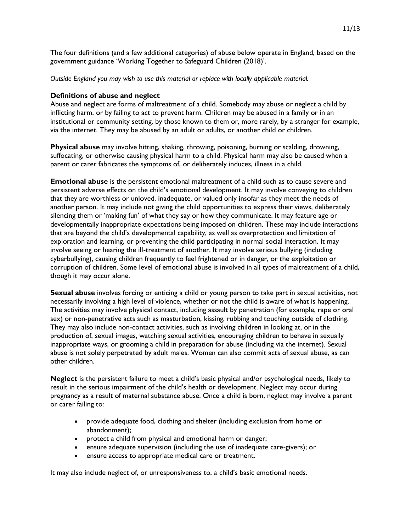The four definitions (and a few additional categories) of abuse below operate in England, based on the government guidance 'Working Together to Safeguard Children (2018)'.

*Outside England you may wish to use this material or replace with locally applicable material.*

### **Definitions of abuse and neglect**

Abuse and neglect are forms of maltreatment of a child. Somebody may abuse or neglect a child by inflicting harm, or by failing to act to prevent harm. Children may be abused in a family or in an institutional or community setting, by those known to them or, more rarely, by a stranger for example, via the internet. They may be abused by an adult or adults, or another child or children.

**Physical abuse** may involve hitting, shaking, throwing, poisoning, burning or scalding, drowning, suffocating, or otherwise causing physical harm to a child. Physical harm may also be caused when a parent or carer fabricates the symptoms of, or deliberately induces, illness in a child.

**Emotional abuse** is the persistent emotional maltreatment of a child such as to cause severe and persistent adverse effects on the child's emotional development. It may involve conveying to children that they are worthless or unloved, inadequate, or valued only insofar as they meet the needs of another person. It may include not giving the child opportunities to express their views, deliberately silencing them or 'making fun' of what they say or how they communicate. It may feature age or developmentally inappropriate expectations being imposed on children. These may include interactions that are beyond the child's developmental capability, as well as overprotection and limitation of exploration and learning, or preventing the child participating in normal social interaction. It may involve seeing or hearing the ill-treatment of another. It may involve serious bullying (including cyberbullying), causing children frequently to feel frightened or in danger, or the exploitation or corruption of children. Some level of emotional abuse is involved in all types of maltreatment of a child, though it may occur alone.

**Sexual abuse** involves forcing or enticing a child or young person to take part in sexual activities, not necessarily involving a high level of violence, whether or not the child is aware of what is happening. The activities may involve physical contact, including assault by penetration (for example, rape or oral sex) or non-penetrative acts such as masturbation, kissing, rubbing and touching outside of clothing. They may also include non-contact activities, such as involving children in looking at, or in the production of, sexual images, watching sexual activities, encouraging children to behave in sexually inappropriate ways, or grooming a child in preparation for abuse (including via the internet). Sexual abuse is not solely perpetrated by adult males. Women can also commit acts of sexual abuse, as can other children.

**Neglect** is the persistent failure to meet a child's basic physical and/or psychological needs, likely to result in the serious impairment of the child's health or development. Neglect may occur during pregnancy as a result of maternal substance abuse. Once a child is born, neglect may involve a parent or carer failing to:

- provide adequate food, clothing and shelter (including exclusion from home or abandonment);
- protect a child from physical and emotional harm or danger;
- ensure adequate supervision (including the use of inadequate care-givers); or
- ensure access to appropriate medical care or treatment.

It may also include neglect of, or unresponsiveness to, a child's basic emotional needs.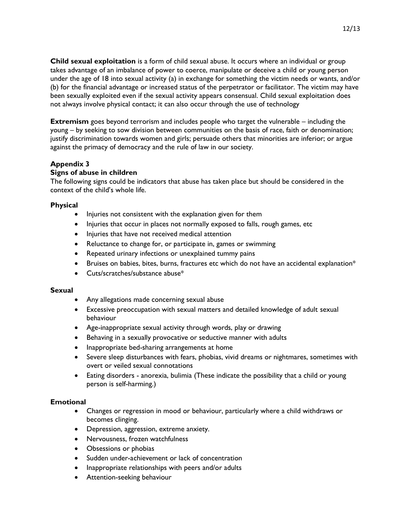**Child sexual exploitation** is a form of child sexual abuse. It occurs where an individual or group takes advantage of an imbalance of power to coerce, manipulate or deceive a child or young person under the age of 18 into sexual activity (a) in exchange for something the victim needs or wants, and/or (b) for the financial advantage or increased status of the perpetrator or facilitator. The victim may have been sexually exploited even if the sexual activity appears consensual. Child sexual exploitation does not always involve physical contact; it can also occur through the use of technology

**Extremism** goes beyond terrorism and includes people who target the vulnerable – including the young – by seeking to sow division between communities on the basis of race, faith or denomination; justify discrimination towards women and girls; persuade others that minorities are inferior; or argue against the primacy of democracy and the rule of law in our society.

# **Appendix 3**

# **Signs of abuse in children**

The following signs could be indicators that abuse has taken place but should be considered in the context of the child's whole life.

## **Physical**

- Injuries not consistent with the explanation given for them
- Injuries that occur in places not normally exposed to falls, rough games, etc
- Injuries that have not received medical attention
- Reluctance to change for, or participate in, games or swimming
- Repeated urinary infections or unexplained tummy pains
- Bruises on babies, bites, burns, fractures etc which do not have an accidental explanation\*
- Cuts/scratches/substance abuse\*

## **Sexual**

- Any allegations made concerning sexual abuse
- Excessive preoccupation with sexual matters and detailed knowledge of adult sexual behaviour
- Age-inappropriate sexual activity through words, play or drawing
- Behaving in a sexually provocative or seductive manner with adults
- Inappropriate bed-sharing arrangements at home
- Severe sleep disturbances with fears, phobias, vivid dreams or nightmares, sometimes with overt or veiled sexual connotations
- Eating disorders anorexia, bulimia (These indicate the possibility that a child or young person is self-harming.)

## **Emotional**

- Changes or regression in mood or behaviour, particularly where a child withdraws or becomes clinging.
- Depression, aggression, extreme anxiety.
- Nervousness, frozen watchfulness
- Obsessions or phobias
- Sudden under-achievement or lack of concentration
- Inappropriate relationships with peers and/or adults
- Attention-seeking behaviour